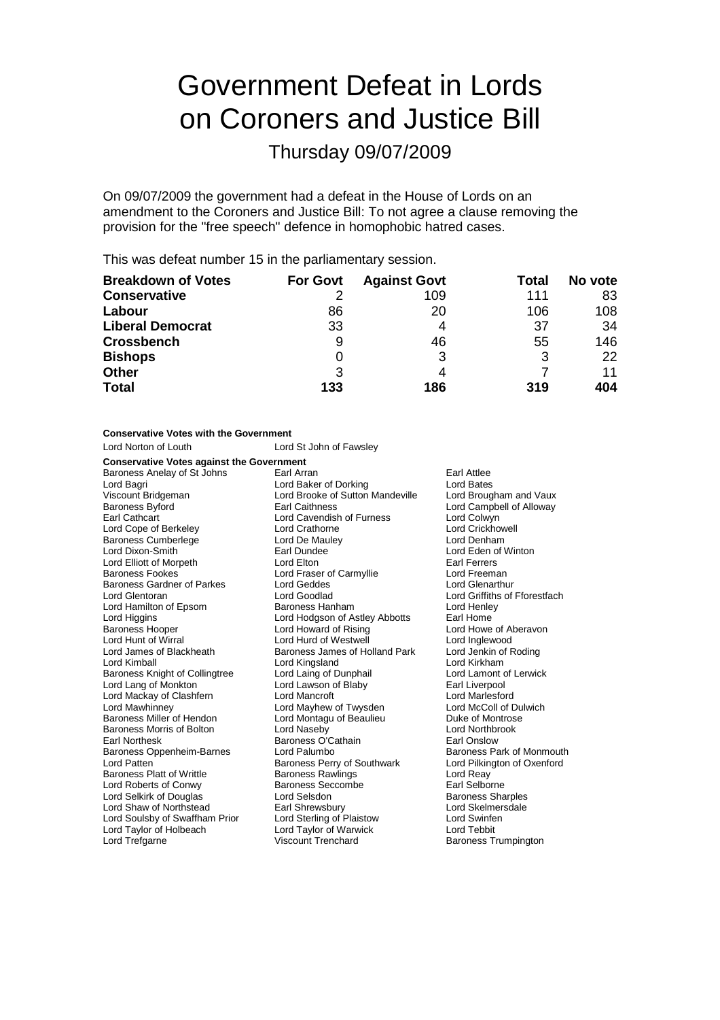# Government Defeat in Lords on Coroners and Justice Bill

Thursday 09/07/2009

On 09/07/2009 the government had a defeat in the House of Lords on an amendment to the Coroners and Justice Bill: To not agree a clause removing the provision for the "free speech" defence in homophobic hatred cases.

This was defeat number 15 in the parliamentary session.

| <b>Breakdown of Votes</b> | <b>For Govt</b> | <b>Against Govt</b> | Total | No vote |
|---------------------------|-----------------|---------------------|-------|---------|
| <b>Conservative</b>       |                 | 109                 | 111   | 83      |
| Labour                    | 86              | 20                  | 106   | 108     |
| <b>Liberal Democrat</b>   | 33              | 4                   | 37    | 34      |
| <b>Crossbench</b>         | 9               | 46                  | 55    | 146     |
| <b>Bishops</b>            | O               | 3                   |       | 22      |
| <b>Other</b>              | 3               | 4                   |       | 11      |
| <b>Total</b>              | 133             | 186                 | 319   | 404     |

| <b>Conservative Votes with the Government</b>    |                                  |                               |  |  |  |
|--------------------------------------------------|----------------------------------|-------------------------------|--|--|--|
| Lord Norton of Louth                             | Lord St John of Fawsley          |                               |  |  |  |
| <b>Conservative Votes against the Government</b> |                                  |                               |  |  |  |
| Baroness Anelay of St Johns                      | Earl Arran                       | Earl Attlee                   |  |  |  |
| Lord Bagri                                       | Lord Baker of Dorking            | <b>Lord Bates</b>             |  |  |  |
| Viscount Bridgeman                               | Lord Brooke of Sutton Mandeville | Lord Brougham and Vaux        |  |  |  |
| Baroness Byford                                  | <b>Earl Caithness</b>            | Lord Campbell of Alloway      |  |  |  |
| Earl Cathcart                                    | Lord Cavendish of Furness        | Lord Colwyn                   |  |  |  |
| Lord Cope of Berkeley                            | Lord Crathorne                   | Lord Crickhowell              |  |  |  |
| <b>Baroness Cumberlege</b>                       | Lord De Mauley                   | Lord Denham                   |  |  |  |
| Lord Dixon-Smith                                 | Earl Dundee                      | Lord Eden of Winton           |  |  |  |
| Lord Elliott of Morpeth                          | Lord Elton                       | Earl Ferrers                  |  |  |  |
| <b>Baroness Fookes</b>                           | Lord Fraser of Carmyllie         | Lord Freeman                  |  |  |  |
| Baroness Gardner of Parkes                       | Lord Geddes                      | Lord Glenarthur               |  |  |  |
| Lord Glentoran                                   | Lord Goodlad                     | Lord Griffiths of Fforestfach |  |  |  |
| Lord Hamilton of Epsom                           | Baroness Hanham                  | Lord Henley                   |  |  |  |
| Lord Higgins                                     | Lord Hodgson of Astley Abbotts   | Earl Home                     |  |  |  |
| <b>Baroness Hooper</b>                           | Lord Howard of Rising            | Lord Howe of Aberavon         |  |  |  |
| Lord Hunt of Wirral                              | Lord Hurd of Westwell            | Lord Inglewood                |  |  |  |
| Lord James of Blackheath                         | Baroness James of Holland Park   | Lord Jenkin of Roding         |  |  |  |
| Lord Kimball                                     | Lord Kingsland                   | Lord Kirkham                  |  |  |  |
| Baroness Knight of Collingtree                   | Lord Laing of Dunphail           | Lord Lamont of Lerwick        |  |  |  |
| Lord Lang of Monkton                             | Lord Lawson of Blaby             | Earl Liverpool                |  |  |  |
| Lord Mackay of Clashfern                         | Lord Mancroft                    | Lord Marlesford               |  |  |  |
| Lord Mawhinney                                   | Lord Mayhew of Twysden           | Lord McColl of Dulwich        |  |  |  |
| Baroness Miller of Hendon                        | Lord Montagu of Beaulieu         | Duke of Montrose              |  |  |  |
| <b>Baroness Morris of Bolton</b>                 | Lord Naseby                      | <b>Lord Northbrook</b>        |  |  |  |
| Earl Northesk                                    | Baroness O'Cathain               | Earl Onslow                   |  |  |  |
| Baroness Oppenheim-Barnes                        | Lord Palumbo                     | Baroness Park of Monmouth     |  |  |  |
| Lord Patten                                      | Baroness Perry of Southwark      | Lord Pilkington of Oxenford   |  |  |  |
| <b>Baroness Platt of Writtle</b>                 | <b>Baroness Rawlings</b>         | Lord Reay                     |  |  |  |
| Lord Roberts of Conwy                            | <b>Baroness Seccombe</b>         | Earl Selborne                 |  |  |  |
| Lord Selkirk of Douglas                          | Lord Selsdon                     | <b>Baroness Sharples</b>      |  |  |  |
| Lord Shaw of Northstead                          | Earl Shrewsbury                  | Lord Skelmersdale             |  |  |  |
| Lord Soulsby of Swaffham Prior                   | Lord Sterling of Plaistow        | Lord Swinfen                  |  |  |  |
| Lord Taylor of Holbeach                          | Lord Taylor of Warwick           | <b>Lord Tebbit</b>            |  |  |  |
| Lord Trefgarne                                   | <b>Viscount Trenchard</b>        | <b>Baroness Trumpington</b>   |  |  |  |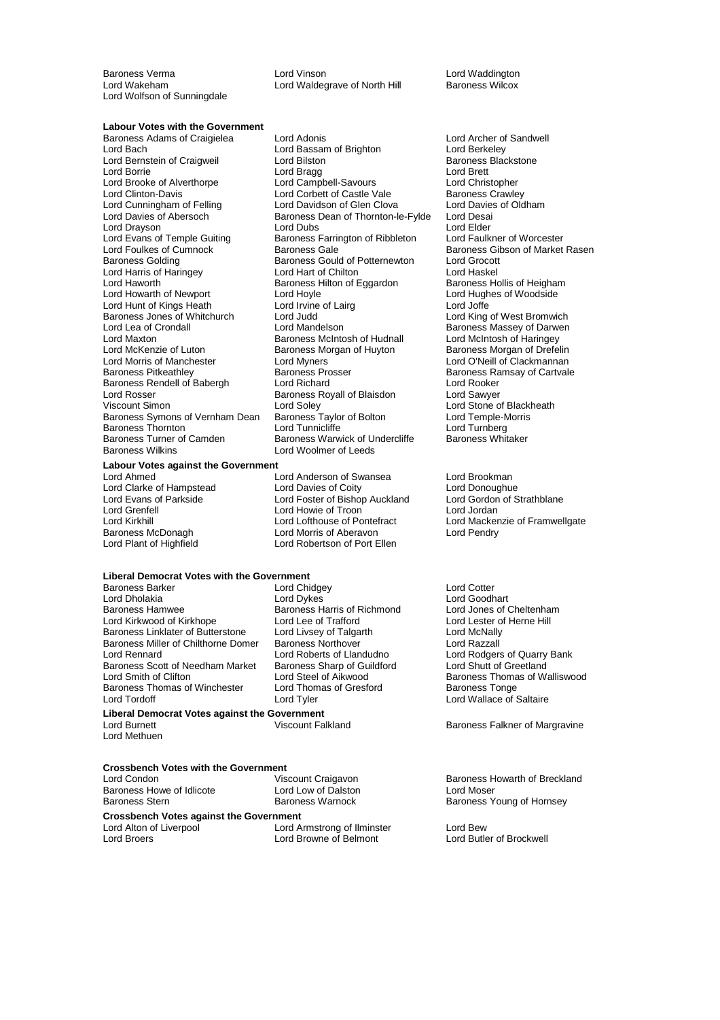Lord Wolfson of Sunningdale

Baroness Verma Lord Vinson Lord Waddington Lord Waldegrave of North Hill

#### **Labour Votes with the Government**

Baroness Adams of Craigielea Lord Adonis<br>
Lord Bassam of Brighton Lord Barkeley<br>
Lord Barkeley Lord Bernstein of Craigweil Lord Evans of Temple Guiting Baroness Farrington of Ribbleton<br>Lord Foulkes of Cumnock Baroness Gale Lord Haworth Baroness Hilton of Eggardon<br>
Lord Howle<br>
Lord Hoyle Baroness Jones of Whitchurch Lord Judd<br>Lord Lea of Crondall Lord Mandelson Lord McKenzie of Luton Baroness Morgan of Huyton<br>Lord Morris of Manchester **Baroness Lord Myners** Baroness Symons of Vernham Dean Baroness Turner of Camden Baroness Warwick of Undercliffe<br>Baroness Wilkins Baroness Cord Woolmer of Leeds

**Labour Votes against the Government**<br>Lord Ahmed

Lord Bassam of Brighton **Lord Berkeley**<br>
Lord Bilston **Lord Baroness** Blackstone Lord Borrie <sup>V</sup><br>
Lord Brett Lord Campbell-Savours Lord Corrient Lord Chris<br>
Lord Brooke of Alverthorpe Lord Campbell-Savours Lord Chris Lord Brooke of Alverthorpe **Lord Campbell-Savours** Lord Christopher<br>
Lord Clinton-Davis **Lord Corbett of Castle Vale** Baroness Crawley Lord Corbett of Castle Vale Baroness Crawley<br>
Lord Davidson of Glen Clova Lord Davies of Oldham Lord Cunningham of Felling Lord Davidson of Glen Clova Lord Davies<br>Lord Davies Lord Davidson of Glen Clova Lord Davies<br>Lord Davies of Abersoch Baroness Dean of Thornton-le-Fylde Lord Desai Baroness Dean of Thornton-le-Fylde Lord Drayson **Lord Elder**<br>
Lord Evans of Temple Guiting **Lord Baroness Farrington of Ribbleton** Lord Faulkner of Worcester Baroness Golding Baroness Gould of Potternewton Lord Grocott<br>
Lord Harris of Haringey Lord Hart of Chilton Lord Haskel Lord Harris of Haringey Lord Hart of Chilton Lord Haskel Lord Hoyle **Lord Hughes of Woodside** Lord Hunt of Kings Heath Lord Irvine of Lairg Lord Joffe Lord Maxton **Baroness McIntosh of Hudnall** Lord McIntosh of Haringey<br>Lord McKenzie of Luton **Baroness Morgan of Huyton** Baroness Morgan of Drefelin Lord Morris of Manchester Lord Myners Cord Cord Cord O'Neill of Clackmannan<br>
Baroness Pitkeathley Baroness Prosser Cartvale Baroness Rendell of Babergh Lord Richard Lord Rooker Lord Rosser **Construent Construent Baroness Royall of Blaisdon** Lord Sawyer<br>
Viscount Simon **Construent Construent Construent Construent** Lord Stone of Blackheath Parameter Corporation Lord Stone of Black<br>
Baroness Taylor of Bolton<br>
Lord Temple-Morris Baroness Thornton **Cammiclic Conditive Conditive** Lord Turnberg<br>Baroness Turner of Camden **Baroness Warwick of Undercliffe** Baroness Whitaker Lord Woolmer of Leeds

Lord Anderson of Swansea Lord Brookman<br>
Lord Davies of Coity Lord Donoughue Lord Clarke of Hampstead Lord Davies of Coity Lord Donoughue<br>
Lord Evans of Parkside **Lord Lord Foster of Bishop Auckland** Lord Gordon of Strathblane Lord Evans of Parkside Lord Foster of Bishop Auckland Lord Gordon of Strathblane Lord Grenfell Lord Howie of Troon<br>
Lord Kirkhill Lord Lofthouse of Pontefract Baroness McDonagh Lord Morris of Aberavon Lord Pendry Lord Robertson of Port Ellen

## **Liberal Democrat Votes with the Government**

Baroness Barker Lord Chidgey Lord Cotter Lord Dholakia Lord Dykes Lord Goodhart Lord Kirkwood of Kirkhope Lord Lee of Trafford Lord Lester of Baroness Linklater of Butterstone Lord Livsey of Talgarth Lord McNally Baroness Linklater of Butterstone Lord Livsey of Talgarth Cord McNally<br>Baroness Miller of Chilthorne Domer Baroness Northover Cord Razzall Baroness Miller of Chilthorne Domer<br>
Lord Roberts of Llandudno<br>
Lord Rennard

Lord Roberts of Llandudno Baroness Scott of Needham Market Baroness Sharp of Guildford<br>
Lord Smith of Clifton Lord Steel of Aikwood **Baroness Thomas of Winchester** Lord Tordoff Lord Tyler Lord Wallace of Saltaire

Baroness Harris of Richmond Lord Jones of Cheltenhar<br>
Lord Lee of Trafford Lord Lester of Herne Hill

**Liberal Democrat Votes against the Government** Lord Methuen

## **Crossbench Votes with the Government**

Baroness Howe of Idlicote Lord Low of Dalston Baroness Stern<br>Baroness Stern Baroness Warnock

**Crossbench Votes against the Government** Lord Alton of Liverpool Lord Armstrong of Ilminster Lord Bew

Lord Browne of Belmont

Baroness Gibson of Market Rasen<br>Lord Grocott Baroness Massey of Darwen<br>Lord McIntosh of Haringey Baroness Ramsay of Cartvale

Lord Kirkhill **Lord Lord Lord Lofthouse of Pontefract** Lord Mackenzie of Framwellgate<br>
Baroness McDonagh **Lord Morth** Lord Morris of Aberavon Lord Pendry

Lord Rodgers of Quarry Bank<br>Lord Shutt of Greetland Lord Steel of Aikwood<br>
Lord Thomas of Gresford<br>
Baroness Tonge<br>
Baroness Tonge

Baroness Falkner of Margravine

Viscount Craigavon **Baroness Howarth of Breckland**<br> **Lord Low of Dalston Baroness Howarth Condomic Lord Moser** Baroness Young of Hornsey